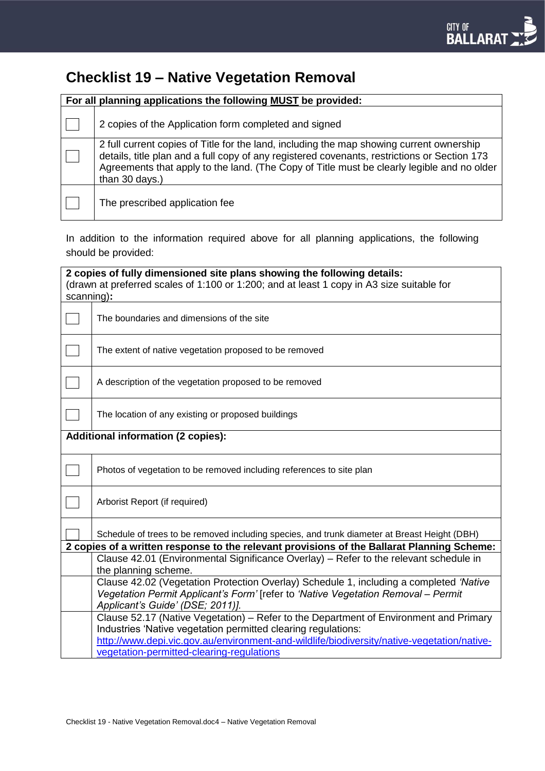# **Checklist 19 – Native Vegetation Removal**

| For all planning applications the following MUST be provided: |                                                                                                                                                                                                                                                                                                          |
|---------------------------------------------------------------|----------------------------------------------------------------------------------------------------------------------------------------------------------------------------------------------------------------------------------------------------------------------------------------------------------|
|                                                               | 2 copies of the Application form completed and signed                                                                                                                                                                                                                                                    |
|                                                               | 2 full current copies of Title for the land, including the map showing current ownership<br>details, title plan and a full copy of any registered covenants, restrictions or Section 173<br>Agreements that apply to the land. (The Copy of Title must be clearly legible and no older<br>than 30 days.) |
|                                                               | The prescribed application fee                                                                                                                                                                                                                                                                           |

In addition to the information required above for all planning applications, the following should be provided:

| 2 copies of fully dimensioned site plans showing the following details:<br>(drawn at preferred scales of 1:100 or 1:200; and at least 1 copy in A3 size suitable for<br>scanning): |                                                                                                                                                                                                                                                                                                   |
|------------------------------------------------------------------------------------------------------------------------------------------------------------------------------------|---------------------------------------------------------------------------------------------------------------------------------------------------------------------------------------------------------------------------------------------------------------------------------------------------|
|                                                                                                                                                                                    | The boundaries and dimensions of the site                                                                                                                                                                                                                                                         |
|                                                                                                                                                                                    | The extent of native vegetation proposed to be removed                                                                                                                                                                                                                                            |
|                                                                                                                                                                                    | A description of the vegetation proposed to be removed                                                                                                                                                                                                                                            |
|                                                                                                                                                                                    | The location of any existing or proposed buildings                                                                                                                                                                                                                                                |
| <b>Additional information (2 copies):</b>                                                                                                                                          |                                                                                                                                                                                                                                                                                                   |
|                                                                                                                                                                                    | Photos of vegetation to be removed including references to site plan                                                                                                                                                                                                                              |
|                                                                                                                                                                                    | Arborist Report (if required)                                                                                                                                                                                                                                                                     |
|                                                                                                                                                                                    | Schedule of trees to be removed including species, and trunk diameter at Breast Height (DBH)<br>2 copies of a written response to the relevant provisions of the Ballarat Planning Scheme:                                                                                                        |
|                                                                                                                                                                                    | Clause 42.01 (Environmental Significance Overlay) - Refer to the relevant schedule in<br>the planning scheme.                                                                                                                                                                                     |
|                                                                                                                                                                                    | Clause 42.02 (Vegetation Protection Overlay) Schedule 1, including a completed 'Native<br>Vegetation Permit Applicant's Form' [refer to 'Native Vegetation Removal - Permit<br>Applicant's Guide' (DSE; 2011)].                                                                                   |
|                                                                                                                                                                                    | Clause 52.17 (Native Vegetation) – Refer to the Department of Environment and Primary<br>Industries 'Native vegetation permitted clearing regulations:<br>http://www.depi.vic.gov.au/environment-and-wildlife/biodiversity/native-vegetation/native-<br>vegetation-permitted-clearing-regulations |